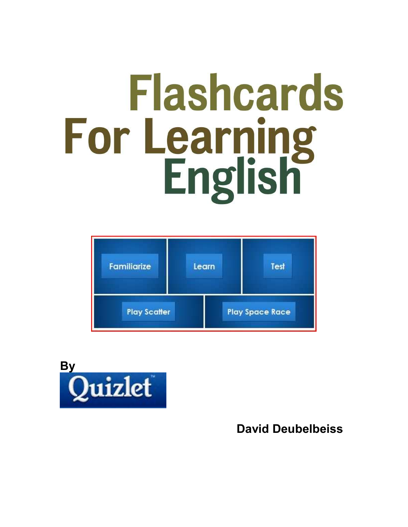# **Flashcards** For Learning<br>English





### **David Deubelbeiss**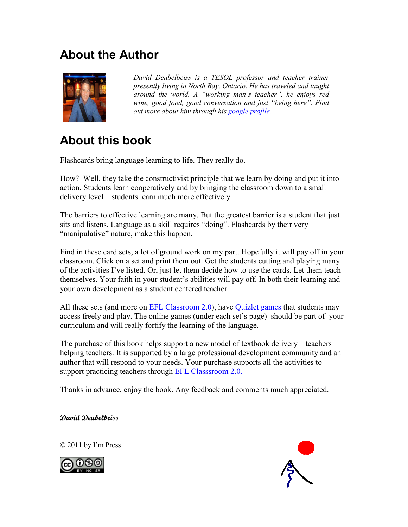#### **About the Author**



*David Deubelbeiss is a TESOL professor and teacher trainer presently living in North Bay, Ontario. He has traveled and taught around the world. A "working man's teacher", he enjoys red wine, good food, good conversation and just "being here". Find out more about him through his [google profile.](http://www.google.com/profiles/u/0/ddeubel)* 

## **About this book**

Flashcards bring language learning to life. They really do.

How? Well, they take the constructivist principle that we learn by doing and put it into action. Students learn cooperatively and by bringing the classroom down to a small delivery level – students learn much more effectively.

The barriers to effective learning are many. But the greatest barrier is a student that just sits and listens. Language as a skill requires "doing". Flashcards by their very "manipulative" nature, make this happen.

Find in these card sets, a lot of ground work on my part. Hopefully it will pay off in your classroom. Click on a set and print them out. Get the students cutting and playing many of the activities I've listed. Or, just let them decide how to use the cards. Let them teach themselves. Your faith in your student's abilities will pay off. In both their learning and your own development as a student centered teacher.

All these sets (and more on [EFL Classroom 2.0\)](http://eflclassroom.ning.com/page/quizlet-1), have [Quizlet games](http://quizlet.com/group/59393) that students may access freely and play. The online games (under each set's page) should be part of your curriculum and will really fortify the learning of the language.

The purchase of this book helps support a new model of textbook delivery – teachers helping teachers. It is supported by a large professional development community and an author that will respond to your needs. Your purchase supports all the activities to support practicing teachers through EFL Classsroom 2.0.

Thanks in advance, enjoy the book. Any feedback and comments much appreciated.

**David Deubelbeiss** 

© 2011 by I'm Press



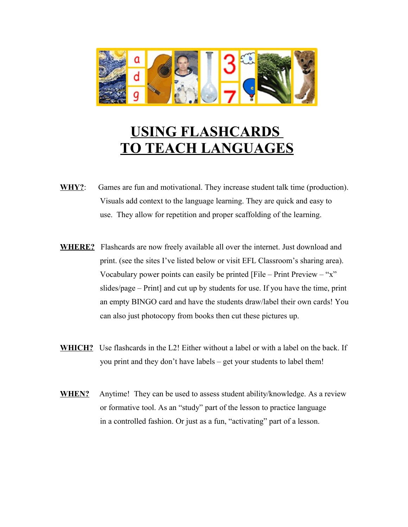

# **USING FLASHCARDS TO TEACH LANGUAGES**

- **WHY?**: Games are fun and motivational. They increase student talk time (production). Visuals add context to the language learning. They are quick and easy to use. They allow for repetition and proper scaffolding of the learning.
- **WHERE?** Flashcards are now freely available all over the internet. Just download and print. (see the sites I've listed below or visit EFL Classroom's sharing area). Vocabulary power points can easily be printed  $[File - Print$  Preview – "x" slides/page – Print] and cut up by students for use. If you have the time, print an empty BINGO card and have the students draw/label their own cards! You can also just photocopy from books then cut these pictures up.
- **WHICH?** Use flashcards in the L2! Either without a label or with a label on the back. If you print and they don't have labels – get your students to label them!
- **WHEN?** Anytime! They can be used to assess student ability/knowledge. As a review or formative tool. As an "study" part of the lesson to practice language in a controlled fashion. Or just as a fun, "activating" part of a lesson.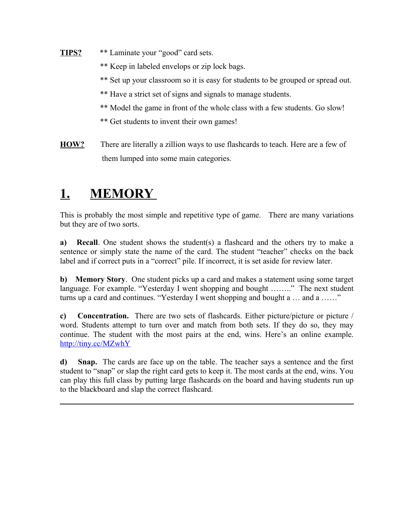**TIPS?** \*\* Laminate your "good" card sets.

- \*\* Keep in labeled envelops or zip lock bags.
- \*\* Set up your classroom so it is easy for students to be grouped or spread out.
- \*\* Have a strict set of signs and signals to manage students.
- \*\* Model the game in front of the whole class with a few students. Go slow!
- \*\* Get students to invent their own games!
- **HOW?** There are literally a zillion ways to use flashcards to teach. Here are a few of them lumped into some main categories.

# **1. MEMORY**

This is probably the most simple and repetitive type of game. There are many variations but they are of two sorts.

**a)** Recall. One student shows the student(s) a flashcard and the others try to make a sentence or simply state the name of the card. The student "teacher" checks on the back label and if correct puts in a "correct" pile. If incorrect, it is set aside for review later.

**b) Memory Story**. One student picks up a card and makes a statement using some target language. For example. "Yesterday I went shopping and bought ........" The next student turns up a card and continues. "Yesterday I went shopping and bought a ... and a ......"

**c)** Concentration. There are two sets of flashcards. Either picture/picture or picture / word. Students attempt to turn over and match from both sets. If they do so, they may continue. The student with the most pairs at the end, wins. Here's an online example. <http://tiny.cc/MZwhY>

**d) Snap.** The cards are face up on the table. The teacher says a sentence and the first student to "snap" or slap the right card gets to keep it. The most cards at the end, wins. You can play this full class by putting large flashcards on the board and having students run up to the blackboard and slap the correct flashcard.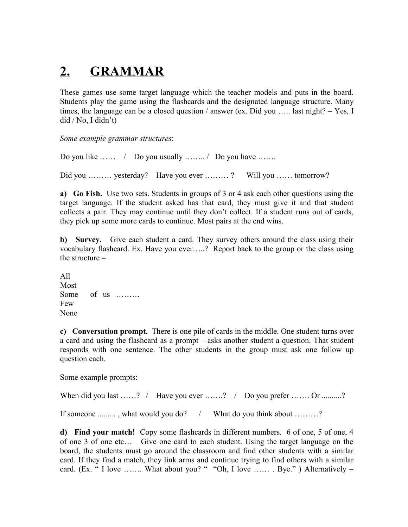## **2. GRAMMAR**

These games use some target language which the teacher models and puts in the board. Students play the game using the flashcards and the designated language structure. Many times, the language can be a closed question / answer (ex. Did you ..... last night?  $-$  Yes, I did / No, I didn't)

*Some example grammar structures*:

Do you like  $\ldots$  / Do you usually  $\ldots$  / Do you have  $\ldots$ Did you ……… yesterday? Have you ever ……… ? Will you …… tomorrow?

**a) Go Fish.** Use two sets. Students in groups of 3 or 4 ask each other questions using the target language. If the student asked has that card, they must give it and that student collects a pair. They may continue until they don't collect. If a student runs out of cards, they pick up some more cards to continue. Most pairs at the end wins.

**b) Survey.** Give each student a card. They survey others around the class using their vocabulary flashcard. Ex. Have you ever…..? Report back to the group or the class using the structure –

All Most Some of us …… Few None

**c) Conversation prompt.** There is one pile of cards in the middle. One student turns over a card and using the flashcard as a prompt – asks another student a question. That student responds with one sentence. The other students in the group must ask one follow up question each.

Some example prompts:

```
When did you last ……? / Have you ever …….? / Do you prefer ……. Or ……….?
If someone ........., what would you do? / What do you think about ........?
```
**d) Find your match!** Copy some flashcards in different numbers. 6 of one, 5 of one, 4 of one 3 of one etc… Give one card to each student. Using the target language on the board, the students must go around the classroom and find other students with a similar card. If they find a match, they link arms and continue trying to find others with a similar card. (Ex. " I love ……. What about you? " "Oh, I love …… . Bye." ) Alternatively –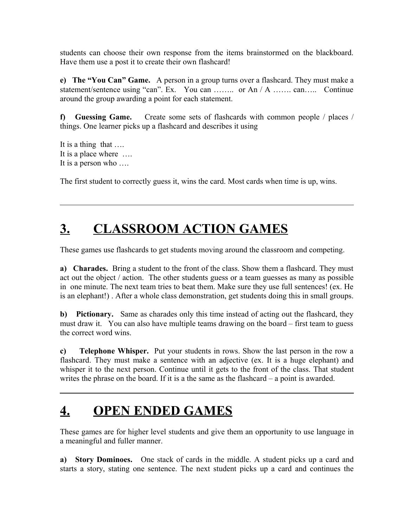students can choose their own response from the items brainstormed on the blackboard. Have them use a post it to create their own flashcard!

**e) The "You Can" Game.** A person in a group turns over a flashcard. They must make a statement/sentence using "can". Ex. You can …….. or An / A ……. can….. Continue around the group awarding a point for each statement.

**f) Guessing Game.** Create some sets of flashcards with common people / places / things. One learner picks up a flashcard and describes it using

It is a thing that …. It is a place where …. It is a person who ….

The first student to correctly guess it, wins the card. Most cards when time is up, wins.

# **3. CLASSROOM ACTION GAMES**

These games use flashcards to get students moving around the classroom and competing.

**a) Charades.** Bring a student to the front of the class. Show them a flashcard. They must act out the object / action. The other students guess or a team guesses as many as possible in one minute. The next team tries to beat them. Make sure they use full sentences! (ex. He is an elephant!) . After a whole class demonstration, get students doing this in small groups.

**b) Pictionary.** Same as charades only this time instead of acting out the flashcard, they must draw it. You can also have multiple teams drawing on the board – first team to guess the correct word wins.

**c) Telephone Whisper.** Put your students in rows. Show the last person in the row a flashcard. They must make a sentence with an adjective (ex. It is a huge elephant) and whisper it to the next person. Continue until it gets to the front of the class. That student writes the phrase on the board. If it is a the same as the flashcard – a point is awarded.

#### **4. OPEN ENDED GAMES**

These games are for higher level students and give them an opportunity to use language in a meaningful and fuller manner.

**a) Story Dominoes.** One stack of cards in the middle. A student picks up a card and starts a story, stating one sentence. The next student picks up a card and continues the